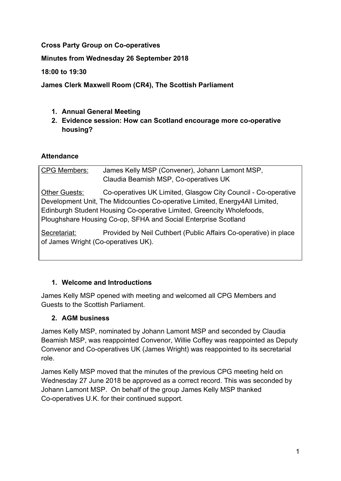### **Cross Party Group on Co-operatives**

**Minutes from Wednesday 26 September 2018**

**18:00 to 19:30**

**James Clerk Maxwell Room (CR4), The Scottish Parliament**

- **1. Annual General Meeting**
- **2. Evidence session: How can Scotland encourage more co-operative housing?**

#### **Attendance**

CPG Members: James Kelly MSP (Convener), Johann Lamont MSP, Claudia Beamish MSP, Co-operatives UK Other Guests: Co-operatives UK Limited, Glasgow City Council - Co-operative Development Unit, The Midcounties Co-operative Limited, Energy4All Limited, Edinburgh Student Housing Co-operative Limited, Greencity Wholefoods, Ploughshare Housing Co-op, SFHA and Social Enterprise Scotland Secretariat: Provided by Neil Cuthbert (Public Affairs Co-operative) in place of James Wright (Co-operatives UK).

### **1. Welcome and Introductions**

James Kelly MSP opened with meeting and welcomed all CPG Members and Guests to the Scottish Parliament.

### **2. AGM business**

James Kelly MSP, nominated by Johann Lamont MSP and seconded by Claudia Beamish MSP, was reappointed Convenor, Willie Coffey was reappointed as Deputy Convenor and Co-operatives UK (James Wright) was reappointed to its secretarial role.

James Kelly MSP moved that the minutes of the previous CPG meeting held on Wednesday 27 June 2018 be approved as a correct record. This was seconded by Johann Lamont MSP. On behalf of the group James Kelly MSP thanked Co-operatives U.K. for their continued support.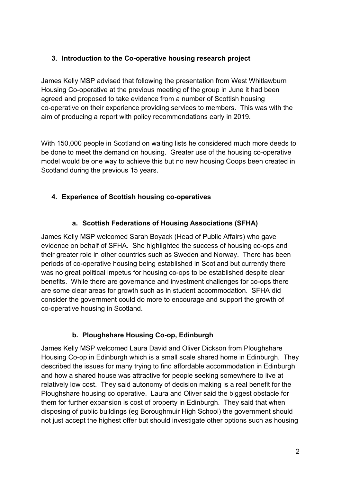### **3. Introduction to the Co-operative housing research project**

James Kelly MSP advised that following the presentation from West Whitlawburn Housing Co-operative at the previous meeting of the group in June it had been agreed and proposed to take evidence from a number of Scottish housing co-operative on their experience providing services to members. This was with the aim of producing a report with policy recommendations early in 2019.

With 150,000 people in Scotland on waiting lists he considered much more deeds to be done to meet the demand on housing. Greater use of the housing co-operative model would be one way to achieve this but no new housing Coops been created in Scotland during the previous 15 years.

# **4. Experience of Scottish housing co-operatives**

## **a. Scottish Federations of Housing Associations (SFHA)**

James Kelly MSP welcomed Sarah Boyack (Head of Public Affairs) who gave evidence on behalf of SFHA. She highlighted the success of housing co-ops and their greater role in other countries such as Sweden and Norway. There has been periods of co-operative housing being established in Scotland but currently there was no great political impetus for housing co-ops to be established despite clear benefits. While there are governance and investment challenges for co-ops there are some clear areas for growth such as in student accommodation. SFHA did consider the government could do more to encourage and support the growth of co-operative housing in Scotland.

### **b. Ploughshare Housing Co-op, Edinburgh**

James Kelly MSP welcomed Laura David and Oliver Dickson from Ploughshare Housing Co-op in Edinburgh which is a small scale shared home in Edinburgh. They described the issues for many trying to find affordable accommodation in Edinburgh and how a shared house was attractive for people seeking somewhere to live at relatively low cost. They said autonomy of decision making is a real benefit for the Ploughshare housing co operative. Laura and Oliver said the biggest obstacle for them for further expansion is cost of property in Edinburgh. They said that when disposing of public buildings (eg Boroughmuir High School) the government should not just accept the highest offer but should investigate other options such as housing